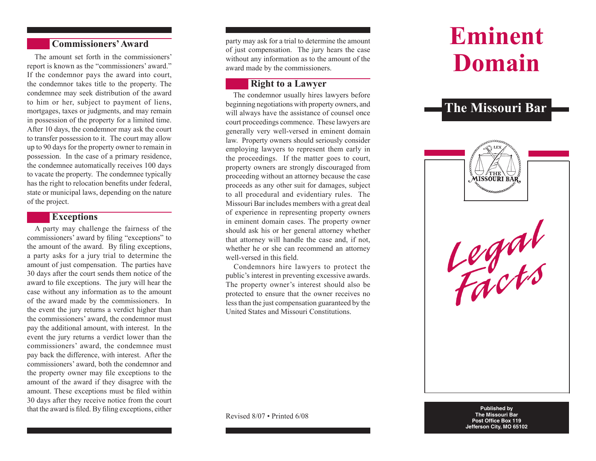## **Commissioners' Award**

The amount set forth in the commissioners' report is known as the "commissioners' award." If the condemnor pays the award into court, the condemnor takes title to the property. The condemnee may seek distribution of the award to him or her, subject to payment of liens, mortgages, taxes or judgments, and may remain in possession of the property for a limited time. After 10 days, the condemnor may ask the court to transfer possession to it. The court may allow up to 90 days for the property owner to remain in possession. In the case of a primary residence, the condemnee automatically receives 100 days to vacate the property. The condemnee typically has the right to relocation benefits under federal, state or municipal laws, depending on the nature of the project.

#### **Exceptions**

A party may challenge the fairness of the commissioners' award by filing "exceptions" to the amount of the award. By filing exceptions, a party asks for a jury trial to determine the amount of just compensation. The parties have 30 days after the court sends them notice of the award to file exceptions. The jury will hear the case without any information as to the amount of the award made by the commissioners. In the event the jury returns a verdict higher than the commissioners' award, the condemnor must pay the additional amount, with interest. In the event the jury returns a verdict lower than the commissioners' award, the condemnee must pay back the difference, with interest. After the commissioners' award, both the condemnor and the property owner may file exceptions to the amount of the award if they disagree with the amount. These exceptions must be filed within 30 days after they receive notice from the court that the award is filed. By filing exceptions, either

party may ask for a trial to determine the amount of just compensation. The jury hears the case without any information as to the amount of the award made by the commissioners.

# **Right to a Lawyer**

The condemnor usually hires lawyers before beginning negotiations with property owners, and will always have the assistance of counsel once court proceedings commence. These lawyers are generally very well-versed in eminent domain law. Property owners should seriously consider employing lawyers to represent them early in the proceedings. If the matter goes to court, property owners are strongly discouraged from proceeding without an attorney because the case proceeds as any other suit for damages, subject to all procedural and evidentiary rules. The Missouri Bar includes members with a great deal of experience in representing property owners in eminent domain cases. The property owner should ask his or her general attorney whether that attorney will handle the case and, if not, whether he or she can recommend an attorney well-versed in this field.

Condemnors hire lawyers to protect the public's interest in preventing excessive awards. The property owner's interest should also be protected to ensure that the owner receives no less than the just compensation guaranteed by the United States and Missouri Constitutions.

**Eminent Domain**

# **The Missouri Bar**



**Published by The Missouri Bar Post Office Box 119 Jefferson City, MO 65102**

Revised 8/07 • Printed 6/08